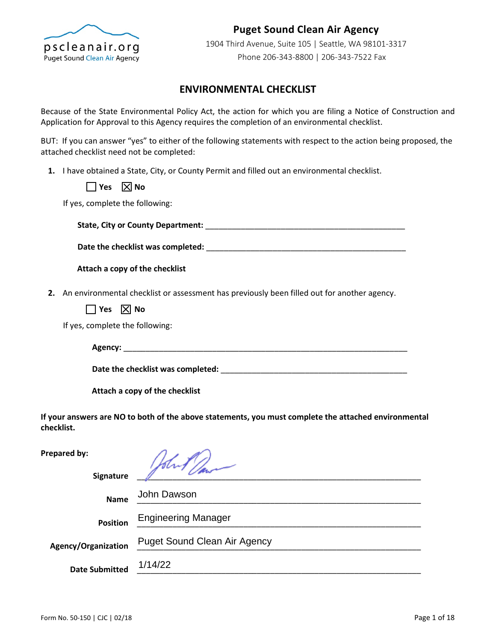

# **Puget Sound Clean Air Agency**

1904 Third Avenue, Suite 105 | Seattle, WA 98101-3317 Phone 206-343-8800 | 206-343-7522 Fax

### **ENVIRONMENTAL CHECKLIST**

Because of the State Environmental Policy Act, the action for which you are filing a Notice of Construction and Application for Approval to this Agency requires the completion of an environmental checklist.

BUT: If you can answer "yes" to either of the following statements with respect to the action being proposed, the attached checklist need not be completed:

**1.** I have obtained a State, City, or County Permit and filled out an environmental checklist.

 $\Box$  Yes  $\Box$  No

If yes, complete the following:

**State, City or County Department:** \_\_\_\_\_\_\_\_\_\_\_\_\_\_\_\_\_\_\_\_\_\_\_\_\_\_\_\_\_\_\_\_\_\_\_\_\_\_\_\_\_\_\_\_\_

**Date the checklist was completed:** \_\_\_\_\_\_\_\_\_\_\_\_\_\_\_\_\_\_\_\_\_\_\_\_\_\_\_\_\_\_\_\_\_\_\_\_\_\_\_\_\_\_\_\_\_

**Attach a copy of the checklist**

**2.** An environmental checklist or assessment has previously been filled out for another agency.

 $\Box$  Yes  $\boxtimes$  No

If yes, complete the following:

**Agency:** \_\_\_\_\_\_\_\_\_\_\_\_\_\_\_\_\_\_\_\_\_\_\_\_\_\_\_\_\_\_\_\_\_\_\_\_\_\_\_\_\_\_\_\_\_\_\_\_\_\_\_\_\_\_\_\_\_\_\_\_\_\_\_\_

**Date the checklist was completed:** \_\_\_\_\_\_\_\_\_\_\_\_\_\_\_\_\_\_\_\_\_\_\_\_\_\_\_\_\_\_\_\_\_\_\_\_\_\_\_\_\_\_

**Attach a copy of the checklist**

**If your answers are NO to both of the above statements, you must complete the attached environmental checklist.**

**Prepared by:**

| Signature                  |                                     |
|----------------------------|-------------------------------------|
| <b>Name</b>                | John Dawson                         |
| <b>Position</b>            | <b>Engineering Manager</b>          |
| <b>Agency/Organization</b> | <b>Puget Sound Clean Air Agency</b> |
| <b>Date Submitted</b>      | 1/14/22                             |
|                            |                                     |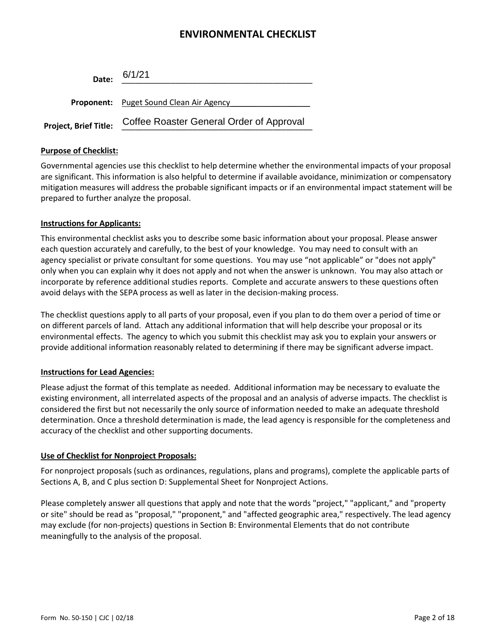| Date:                 | 6/1/21                                         |
|-----------------------|------------------------------------------------|
|                       | <b>Proponent:</b> Puget Sound Clean Air Agency |
|                       |                                                |
| Project, Brief Title: | Coffee Roaster General Order of Approval       |

#### **Purpose of Checklist:**

Governmental agencies use this checklist to help determine whether the environmental impacts of your proposal are significant. This information is also helpful to determine if available avoidance, minimization or compensatory mitigation measures will address the probable significant impacts or if an environmental impact statement will be prepared to further analyze the proposal.

#### **Instructions for Applicants:**

This environmental checklist asks you to describe some basic information about your proposal. Please answer each question accurately and carefully, to the best of your knowledge. You may need to consult with an agency specialist or private consultant for some questions. You may use "not applicable" or "does not apply" only when you can explain why it does not apply and not when the answer is unknown. You may also attach or incorporate by reference additional studies reports. Complete and accurate answers to these questions often avoid delays with the SEPA process as well as later in the decision-making process.

The checklist questions apply to all parts of your proposal, even if you plan to do them over a period of time or on different parcels of land. Attach any additional information that will help describe your proposal or its environmental effects. The agency to which you submit this checklist may ask you to explain your answers or provide additional information reasonably related to determining if there may be significant adverse impact.

### **Instructions for Lead Agencies:**

Please adjust the format of this template as needed. Additional information may be necessary to evaluate the existing environment, all interrelated aspects of the proposal and an analysis of adverse impacts. The checklist is considered the first but not necessarily the only source of information needed to make an adequate threshold determination. Once a threshold determination is made, the lead agency is responsible for the completeness and accuracy of the checklist and other supporting documents.

### **Use of Checklist for Nonproject Proposals:**

For nonproject proposals (such as ordinances, regulations, plans and programs), complete the applicable parts of Sections A, B, and C plus section D: Supplemental Sheet for Nonproject Actions.

Please completely answer all questions that apply and note that the words "project," "applicant," and "property or site" should be read as "proposal," "proponent," and "affected geographic area," respectively. The lead agency may exclude (for non-projects) questions in Section B: Environmental Elements that do not contribute meaningfully to the analysis of the proposal.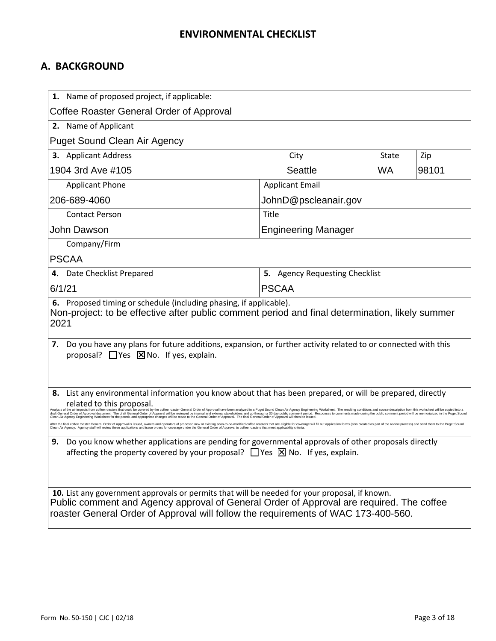# **A. BACKGROUND**

| 1. Name of proposed project, if applicable:                                                                                                                                                                                                                                                                                                                                                                                                                                                                                                                                                                                                                                                                                                                                                                                                                                                                                                                                                                                                                                                                                                                                                                   |              |                                |              |       |
|---------------------------------------------------------------------------------------------------------------------------------------------------------------------------------------------------------------------------------------------------------------------------------------------------------------------------------------------------------------------------------------------------------------------------------------------------------------------------------------------------------------------------------------------------------------------------------------------------------------------------------------------------------------------------------------------------------------------------------------------------------------------------------------------------------------------------------------------------------------------------------------------------------------------------------------------------------------------------------------------------------------------------------------------------------------------------------------------------------------------------------------------------------------------------------------------------------------|--------------|--------------------------------|--------------|-------|
| Coffee Roaster General Order of Approval                                                                                                                                                                                                                                                                                                                                                                                                                                                                                                                                                                                                                                                                                                                                                                                                                                                                                                                                                                                                                                                                                                                                                                      |              |                                |              |       |
| 2. Name of Applicant                                                                                                                                                                                                                                                                                                                                                                                                                                                                                                                                                                                                                                                                                                                                                                                                                                                                                                                                                                                                                                                                                                                                                                                          |              |                                |              |       |
| <b>Puget Sound Clean Air Agency</b>                                                                                                                                                                                                                                                                                                                                                                                                                                                                                                                                                                                                                                                                                                                                                                                                                                                                                                                                                                                                                                                                                                                                                                           |              |                                |              |       |
| 3. Applicant Address                                                                                                                                                                                                                                                                                                                                                                                                                                                                                                                                                                                                                                                                                                                                                                                                                                                                                                                                                                                                                                                                                                                                                                                          |              | City                           | <b>State</b> | Zip   |
| 1904 3rd Ave #105                                                                                                                                                                                                                                                                                                                                                                                                                                                                                                                                                                                                                                                                                                                                                                                                                                                                                                                                                                                                                                                                                                                                                                                             |              | <b>Seattle</b>                 | WA.          | 98101 |
| <b>Applicant Phone</b>                                                                                                                                                                                                                                                                                                                                                                                                                                                                                                                                                                                                                                                                                                                                                                                                                                                                                                                                                                                                                                                                                                                                                                                        |              | <b>Applicant Email</b>         |              |       |
| 206-689-4060                                                                                                                                                                                                                                                                                                                                                                                                                                                                                                                                                                                                                                                                                                                                                                                                                                                                                                                                                                                                                                                                                                                                                                                                  |              | JohnD@pscleanair.gov           |              |       |
| <b>Contact Person</b>                                                                                                                                                                                                                                                                                                                                                                                                                                                                                                                                                                                                                                                                                                                                                                                                                                                                                                                                                                                                                                                                                                                                                                                         | Title        |                                |              |       |
| John Dawson                                                                                                                                                                                                                                                                                                                                                                                                                                                                                                                                                                                                                                                                                                                                                                                                                                                                                                                                                                                                                                                                                                                                                                                                   |              | <b>Engineering Manager</b>     |              |       |
| Company/Firm                                                                                                                                                                                                                                                                                                                                                                                                                                                                                                                                                                                                                                                                                                                                                                                                                                                                                                                                                                                                                                                                                                                                                                                                  |              |                                |              |       |
| <b>PSCAA</b>                                                                                                                                                                                                                                                                                                                                                                                                                                                                                                                                                                                                                                                                                                                                                                                                                                                                                                                                                                                                                                                                                                                                                                                                  |              |                                |              |       |
| Date Checklist Prepared                                                                                                                                                                                                                                                                                                                                                                                                                                                                                                                                                                                                                                                                                                                                                                                                                                                                                                                                                                                                                                                                                                                                                                                       |              | 5. Agency Requesting Checklist |              |       |
| 6/1/21                                                                                                                                                                                                                                                                                                                                                                                                                                                                                                                                                                                                                                                                                                                                                                                                                                                                                                                                                                                                                                                                                                                                                                                                        | <b>PSCAA</b> |                                |              |       |
| 6. Proposed timing or schedule (including phasing, if applicable).<br>Non-project: to be effective after public comment period and final determination, likely summer<br>2021                                                                                                                                                                                                                                                                                                                                                                                                                                                                                                                                                                                                                                                                                                                                                                                                                                                                                                                                                                                                                                 |              |                                |              |       |
| Do you have any plans for future additions, expansion, or further activity related to or connected with this<br>7.<br>proposal? $\Box$ Yes $\Box$ No. If yes, explain.                                                                                                                                                                                                                                                                                                                                                                                                                                                                                                                                                                                                                                                                                                                                                                                                                                                                                                                                                                                                                                        |              |                                |              |       |
| List any environmental information you know about that has been prepared, or will be prepared, directly<br>8.<br>related to this proposal.<br>hat could be covered by the coffee roaster General Order of Approval have been analyzed in a Puget Sound Clean Air Agency Engineering Worksheet. The resulting conditions and source description from this worksheet will be c<br>al Order of Approval document. The draft General Order of Approval will be reviewed by internal and external stakeholders and go through a 30 day public comment period. Responses to comments made during the public comment<br>ngineering Worksheet for the permit, and appropriate changes will be made to the General Order of Approval. The final General Order of Approval will then be issued<br>After the final coffee roaster General Order of Approval is issued, owners and operators of proposed new or existing soon-to-be-modified coffee roasters that are eligible for coverage will fill out application forms (also<br>Clean Air Agency. Agency staff will review these applications and issue orders for coverage under the General Order of Approval to coffee roasters that meet applicability criteria. |              |                                |              |       |
| Do you know whether applications are pending for governmental approvals of other proposals directly<br>9.<br>affecting the property covered by your proposal? $\Box$ Yes $\boxtimes$ No. If yes, explain.                                                                                                                                                                                                                                                                                                                                                                                                                                                                                                                                                                                                                                                                                                                                                                                                                                                                                                                                                                                                     |              |                                |              |       |
| 10. List any government approvals or permits that will be needed for your proposal, if known.<br>Public comment and Agency approval of General Order of Approval are required. The coffee<br>roaster General Order of Approval will follow the requirements of WAC 173-400-560.                                                                                                                                                                                                                                                                                                                                                                                                                                                                                                                                                                                                                                                                                                                                                                                                                                                                                                                               |              |                                |              |       |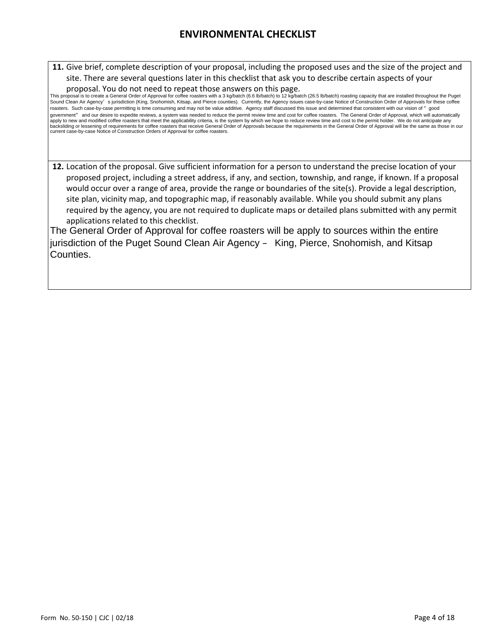**11.** Give brief, complete description of your proposal, including the proposed uses and the size of the project and site. There are several questions later in this checklist that ask you to describe certain aspects of your

proposal. You do not need to repeat those answers on this page.

This proposal is to create a General Order of Approval for coffee roasters with a 3 kg/batch (6.6 lb/batch) to 12 kg/batch (26.5 lb/batch) roasting capacity that are installed throughout the Puget Sound Clean Air Agency's jurisdiction (King, Snohomish, Kitsap, and Pierce counties). Currently, the Agency issues case-by-case Notice of Construction Order of Approvals for these coffee roasters. Such case-by-case permitting is time consuming and may not be value additive. Agency staff discussed this issue and determined that consistent with our vision of "good government" and our desire to expedite reviews, a system was needed to reduce the permit review time and cost for coffee roasters. The General Order of Approval, which will automatically apply to new and modified coffee roasters that meet the applicability criteria, is the system by which we hope to reduce review time and cost to the permit holder. We do not anticipate any<br>backsliding or lessening of requi current case-by-case Notice of Construction Orders of Approval for coffee roasters.

**12.** Location of the proposal. Give sufficient information for a person to understand the precise location of your proposed project, including a street address, if any, and section, township, and range, if known. If a proposal would occur over a range of area, provide the range or boundaries of the site(s). Provide a legal description, site plan, vicinity map, and topographic map, if reasonably available. While you should submit any plans required by the agency, you are not required to duplicate maps or detailed plans submitted with any permit applications related to this checklist.

The General Order of Approval for coffee roasters will be apply to sources within the entire jurisdiction of the Puget Sound Clean Air Agency – King, Pierce, Snohomish, and Kitsap Counties.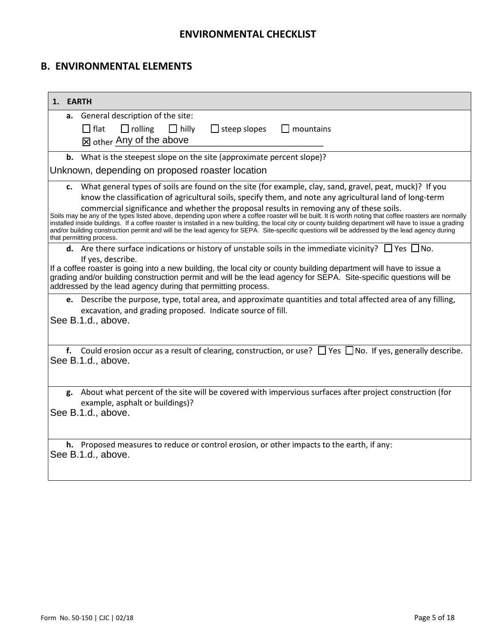# **B. ENVIRONMENTAL ELEMENTS**

| 1. EARTH |                                                                                                                                                                                                                                                                                                                                                                                                                                                                                                                                                                                                                                                                                                                                                                                                                                                                                                                                                                     |  |  |
|----------|---------------------------------------------------------------------------------------------------------------------------------------------------------------------------------------------------------------------------------------------------------------------------------------------------------------------------------------------------------------------------------------------------------------------------------------------------------------------------------------------------------------------------------------------------------------------------------------------------------------------------------------------------------------------------------------------------------------------------------------------------------------------------------------------------------------------------------------------------------------------------------------------------------------------------------------------------------------------|--|--|
|          | a. General description of the site:<br>$\Box$ flat<br>$\Box$ rolling<br>$\Box$ hilly<br>$\Box$ steep slopes<br>$\Box$ mountains<br><sub>M</sub> other Any of the above                                                                                                                                                                                                                                                                                                                                                                                                                                                                                                                                                                                                                                                                                                                                                                                              |  |  |
| b.       | What is the steepest slope on the site (approximate percent slope)?                                                                                                                                                                                                                                                                                                                                                                                                                                                                                                                                                                                                                                                                                                                                                                                                                                                                                                 |  |  |
|          | Unknown, depending on proposed roaster location                                                                                                                                                                                                                                                                                                                                                                                                                                                                                                                                                                                                                                                                                                                                                                                                                                                                                                                     |  |  |
|          | c. What general types of soils are found on the site (for example, clay, sand, gravel, peat, muck)? If you<br>know the classification of agricultural soils, specify them, and note any agricultural land of long-term<br>commercial significance and whether the proposal results in removing any of these soils.<br>Soils may be any of the types listed above, depending upon where a coffee roaster will be built. It is worth noting that coffee roasters are normally<br>installed inside buildings. If a coffee roaster is installed in a new building, the local city or county building department will have to issue a grading<br>and/or building construction permit and will be the lead agency for SEPA. Site-specific questions will be addressed by the lead agency during<br>that permitting process.<br><b>d.</b> Are there surface indications or history of unstable soils in the immediate vicinity? $\Box$ Yes $\Box$ No.<br>If yes, describe. |  |  |
|          | If a coffee roaster is going into a new building, the local city or county building department will have to issue a<br>grading and/or building construction permit and will be the lead agency for SEPA. Site-specific questions will be<br>addressed by the lead agency during that permitting process.                                                                                                                                                                                                                                                                                                                                                                                                                                                                                                                                                                                                                                                            |  |  |
|          | e. Describe the purpose, type, total area, and approximate quantities and total affected area of any filling,<br>excavation, and grading proposed. Indicate source of fill.<br>See B.1.d., above.                                                                                                                                                                                                                                                                                                                                                                                                                                                                                                                                                                                                                                                                                                                                                                   |  |  |
|          | f. Could erosion occur as a result of clearing, construction, or use? $\Box$ Yes $\Box$ No. If yes, generally describe.<br>See B.1.d., above.                                                                                                                                                                                                                                                                                                                                                                                                                                                                                                                                                                                                                                                                                                                                                                                                                       |  |  |
|          | g. About what percent of the site will be covered with impervious surfaces after project construction (for<br>example, asphalt or buildings)?<br>See B.1.d., above.                                                                                                                                                                                                                                                                                                                                                                                                                                                                                                                                                                                                                                                                                                                                                                                                 |  |  |
|          | h. Proposed measures to reduce or control erosion, or other impacts to the earth, if any:<br>See B.1.d., above.                                                                                                                                                                                                                                                                                                                                                                                                                                                                                                                                                                                                                                                                                                                                                                                                                                                     |  |  |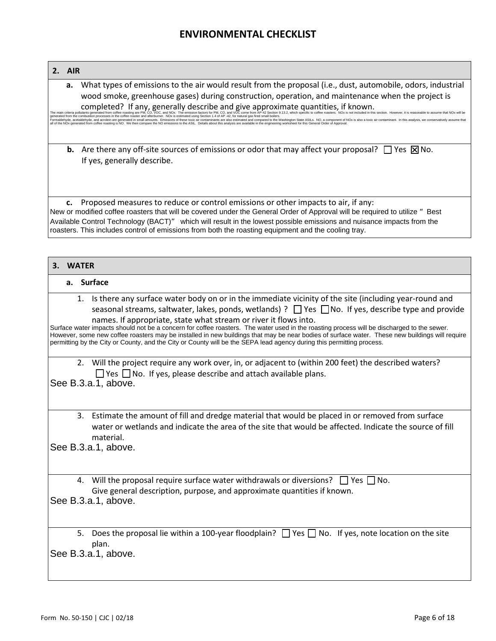#### **2. AIR**

**a.** What types of emissions to the air would result from the proposal (i.e., dust, automobile, odors, industrial wood smoke, greenhouse gases) during construction, operation, and maintenance when the project is completed? If any, generally describe and give approximate quantities, if known.

The main criteria pollutants generated from coffee roasting are PM, CO, VOC, and NOx. The emission factors for PM, CO, and VOC come from AP-42 Section 9.13.2, which specific to coffee roasters. NOx is not included in this generated from the combustion processes in the coffee roaster and afterburner. NOx is estimated using Section 1.4 of AP -42, for natural gas fired small boiles.<br>Formaldehyde, acetaldehyde, and account and a stream and a mo

**b.** Are there any off-site sources of emissions or odor that may affect your proposal?  $\Box$  Yes  $\boxtimes$  No. If yes, generally describe.

**c.** Proposed measures to reduce or control emissions or other impacts to air, if any: New or modified coffee roasters that will be covered under the General Order of Approval will be required to utilize " Best Available Control Technology (BACT)" which will result in the lowest possible emissions and nuisance impacts from the roasters. This includes control of emissions from both the roasting equipment and the cooling tray.

#### **3. WATER**

### **a. Surface**

1. Is there any surface water body on or in the immediate vicinity of the site (including year-round and seasonal streams, saltwater, lakes, ponds, wetlands) ?  $\Box$  Yes  $\Box$  No. If yes, describe type and provide names. If appropriate, state what stream or river it flows into.

Surface water impacts should not be a concern for coffee roasters. The water used in the roasting process will be discharged to the sewer. However, some new coffee roasters may be installed in new buildings that may be near bodies of surface water. These new buildings will require permitting by the City or County, and the City or County will be the SEPA lead agency during this permitting process.

2. Will the project require any work over, in, or adjacent to (within 200 feet) the described waters?  $\Box$  Yes  $\Box$  No. If yes, please describe and attach available plans.

See B.3.a.1, above.

3. Estimate the amount of fill and dredge material that would be placed in or removed from surface water or wetlands and indicate the area of the site that would be affected. Indicate the source of fill material.

See B.3.a.1, above.

4. Will the proposal require surface water withdrawals or diversions?  $\Box$  Yes  $\Box$  No. Give general description, purpose, and approximate quantities if known.

See B.3.a.1, above.

5. Does the proposal lie within a 100-year floodplain?  $\Box$  Yes  $\Box$  No. If yes, note location on the site plan.

See B.3.a.1, above.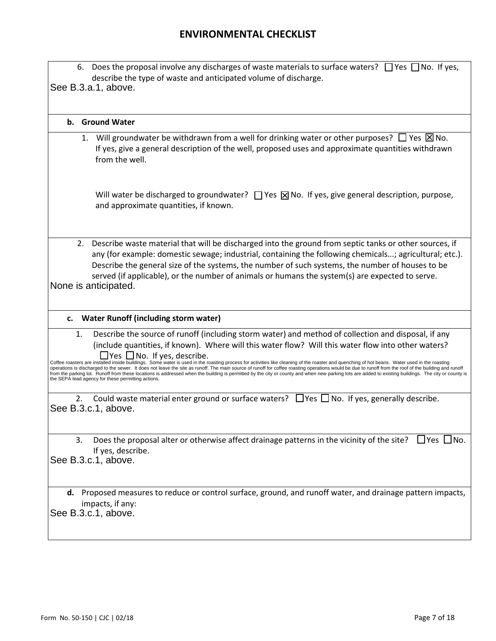|    |    | 6. Does the proposal involve any discharges of waste materials to surface waters? $\Box$ Yes $\Box$ No. If yes,<br>describe the type of waste and anticipated volume of discharge.<br>See B.3.a.1, above.                                                                                                                                                                                                                                                                                                                                                                                                                                                                                                                                                                                                                                                                                                                     |
|----|----|-------------------------------------------------------------------------------------------------------------------------------------------------------------------------------------------------------------------------------------------------------------------------------------------------------------------------------------------------------------------------------------------------------------------------------------------------------------------------------------------------------------------------------------------------------------------------------------------------------------------------------------------------------------------------------------------------------------------------------------------------------------------------------------------------------------------------------------------------------------------------------------------------------------------------------|
|    |    | b. Ground Water                                                                                                                                                                                                                                                                                                                                                                                                                                                                                                                                                                                                                                                                                                                                                                                                                                                                                                               |
|    |    | 1. Will groundwater be withdrawn from a well for drinking water or other purposes? $\square$ Yes $\boxtimes$ No.<br>If yes, give a general description of the well, proposed uses and approximate quantities withdrawn<br>from the well.                                                                                                                                                                                                                                                                                                                                                                                                                                                                                                                                                                                                                                                                                      |
|    |    | Will water be discharged to groundwater? $\Box$ Yes $\boxtimes$ No. If yes, give general description, purpose,<br>and approximate quantities, if known.                                                                                                                                                                                                                                                                                                                                                                                                                                                                                                                                                                                                                                                                                                                                                                       |
|    | 2. | Describe waste material that will be discharged into the ground from septic tanks or other sources, if<br>any (for example: domestic sewage; industrial, containing the following chemicals; agricultural; etc.).<br>Describe the general size of the systems, the number of such systems, the number of houses to be<br>served (if applicable), or the number of animals or humans the system(s) are expected to serve.<br>None is anticipated.                                                                                                                                                                                                                                                                                                                                                                                                                                                                              |
| c. |    | <b>Water Runoff (including storm water)</b>                                                                                                                                                                                                                                                                                                                                                                                                                                                                                                                                                                                                                                                                                                                                                                                                                                                                                   |
|    | 1. | Describe the source of runoff (including storm water) and method of collection and disposal, if any<br>(include quantities, if known). Where will this water flow? Will this water flow into other waters?<br>$\Box$ Yes $\Box$ No. If yes, describe.<br>Coffee roasters are installed inside buildings. Some water is used in the roasting process for activities like cleaning of the roaster and quenching of hot beans. Water used in the roasting<br>operations is discharged to the sewer. It does not leave the site as runoff. The main source of runoff for coffee roasting operations would be due to runoff from the roof of the building and runoff<br>from the parking lot. Runoff from these locations is addressed when the building is permitted by the city or county and when new parking lots are added to existing buildings. The city or county is<br>the SEPA lead agency for these permitting actions. |
|    | 2. | Could waste material enter ground or surface waters? $\Box$ Yes $\Box$ No. If yes, generally describe.<br>See B.3.c.1, above.                                                                                                                                                                                                                                                                                                                                                                                                                                                                                                                                                                                                                                                                                                                                                                                                 |
|    | 3. | Does the proposal alter or otherwise affect drainage patterns in the vicinity of the site? $\Box$ Yes $\Box$ No.<br>If yes, describe.<br>See B.3.c.1, above.                                                                                                                                                                                                                                                                                                                                                                                                                                                                                                                                                                                                                                                                                                                                                                  |
|    |    | d. Proposed measures to reduce or control surface, ground, and runoff water, and drainage pattern impacts,<br>impacts, if any:<br>See B.3.c.1, above.                                                                                                                                                                                                                                                                                                                                                                                                                                                                                                                                                                                                                                                                                                                                                                         |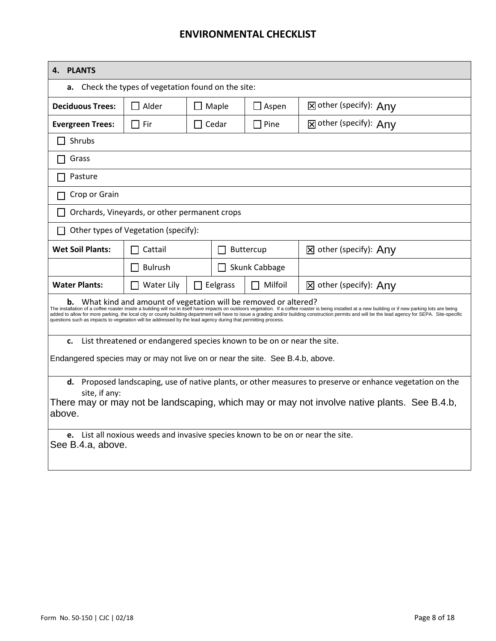| <b>PLANTS</b><br>Δ.                                                                                                                                                                                                                                                                                                                                                                                                                                                                                                                                                                                     |                                                                        |                  |                      |                                  |  |
|---------------------------------------------------------------------------------------------------------------------------------------------------------------------------------------------------------------------------------------------------------------------------------------------------------------------------------------------------------------------------------------------------------------------------------------------------------------------------------------------------------------------------------------------------------------------------------------------------------|------------------------------------------------------------------------|------------------|----------------------|----------------------------------|--|
| a.                                                                                                                                                                                                                                                                                                                                                                                                                                                                                                                                                                                                      | Check the types of vegetation found on the site:                       |                  |                      |                                  |  |
| <b>Deciduous Trees:</b>                                                                                                                                                                                                                                                                                                                                                                                                                                                                                                                                                                                 | Alder<br>$\Box$ Maple                                                  |                  | $\Box$ Aspen         | <b>X</b> other (specify): Any    |  |
| <b>Evergreen Trees:</b>                                                                                                                                                                                                                                                                                                                                                                                                                                                                                                                                                                                 | $\Box$ Fir                                                             | $\sqcap$ Cedar   | $\Box$ Pine          | 冈 other (specify): Anv           |  |
| Shrubs                                                                                                                                                                                                                                                                                                                                                                                                                                                                                                                                                                                                  |                                                                        |                  |                      |                                  |  |
| Grass                                                                                                                                                                                                                                                                                                                                                                                                                                                                                                                                                                                                   |                                                                        |                  |                      |                                  |  |
| Pasture                                                                                                                                                                                                                                                                                                                                                                                                                                                                                                                                                                                                 |                                                                        |                  |                      |                                  |  |
| Crop or Grain                                                                                                                                                                                                                                                                                                                                                                                                                                                                                                                                                                                           |                                                                        |                  |                      |                                  |  |
|                                                                                                                                                                                                                                                                                                                                                                                                                                                                                                                                                                                                         | Orchards, Vineyards, or other permanent crops                          |                  |                      |                                  |  |
|                                                                                                                                                                                                                                                                                                                                                                                                                                                                                                                                                                                                         | Other types of Vegetation (specify):                                   |                  |                      |                                  |  |
| <b>Wet Soil Plants:</b>                                                                                                                                                                                                                                                                                                                                                                                                                                                                                                                                                                                 | Cattail                                                                | <b>Buttercup</b> |                      | $\boxtimes$ other (specify): Any |  |
|                                                                                                                                                                                                                                                                                                                                                                                                                                                                                                                                                                                                         | <b>Bulrush</b>                                                         |                  | $\Box$ Skunk Cabbage |                                  |  |
| <b>Water Plants:</b>                                                                                                                                                                                                                                                                                                                                                                                                                                                                                                                                                                                    | <b>Water Lily</b>                                                      | $\Box$ Eelgrass  | $\Box$ Milfoil       | 区 other (specify): Any           |  |
| What kind and amount of vegetation will be removed or altered?<br>b.<br>The installation of a coffee roaster inside a building will not in itself have impacts on outdoors vegetation. If a coffee roaster is being installed at a new building or if new parking lots are being<br>added to allow for more parking, the local city or county building department will have to issue a grading and/or building construction permits and will be the lead agency for SEPA. Site-specific<br>questions such as impacts to vegetation will be addressed by the lead agency during that permitting process. |                                                                        |                  |                      |                                  |  |
| c.                                                                                                                                                                                                                                                                                                                                                                                                                                                                                                                                                                                                      | List threatened or endangered species known to be on or near the site. |                  |                      |                                  |  |
| Endangered species may or may not live on or near the site. See B.4.b, above.                                                                                                                                                                                                                                                                                                                                                                                                                                                                                                                           |                                                                        |                  |                      |                                  |  |
| d. Proposed landscaping, use of native plants, or other measures to preserve or enhance vegetation on the<br>site, if any:<br>There may or may not be landscaping, which may or may not involve native plants. See B.4.b,<br>above.                                                                                                                                                                                                                                                                                                                                                                     |                                                                        |                  |                      |                                  |  |
| e. List all noxious weeds and invasive species known to be on or near the site.<br>See B.4.a, above.                                                                                                                                                                                                                                                                                                                                                                                                                                                                                                    |                                                                        |                  |                      |                                  |  |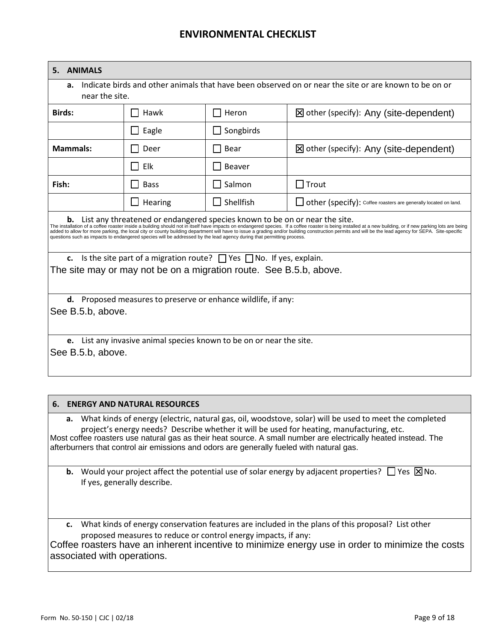| <b>ANIMALS</b><br>5.                                                                                                                                                                                                                                                                                                                                                                                                                                                                                                                                                                                                                                                                                                                                                                    |             |                  |                                                                                                       |
|-----------------------------------------------------------------------------------------------------------------------------------------------------------------------------------------------------------------------------------------------------------------------------------------------------------------------------------------------------------------------------------------------------------------------------------------------------------------------------------------------------------------------------------------------------------------------------------------------------------------------------------------------------------------------------------------------------------------------------------------------------------------------------------------|-------------|------------------|-------------------------------------------------------------------------------------------------------|
| а.<br>near the site.                                                                                                                                                                                                                                                                                                                                                                                                                                                                                                                                                                                                                                                                                                                                                                    |             |                  | Indicate birds and other animals that have been observed on or near the site or are known to be on or |
| <b>Birds:</b>                                                                                                                                                                                                                                                                                                                                                                                                                                                                                                                                                                                                                                                                                                                                                                           | Hawk        | $\Box$ Heron     | ⊠ other (specify): Any (site-dependent)                                                               |
|                                                                                                                                                                                                                                                                                                                                                                                                                                                                                                                                                                                                                                                                                                                                                                                         | Eagle       | $\Box$ Songbirds |                                                                                                       |
| <b>Mammals:</b>                                                                                                                                                                                                                                                                                                                                                                                                                                                                                                                                                                                                                                                                                                                                                                         | Deer        | Bear             | $\boxtimes$ other (specify): Any (site-dependent)                                                     |
|                                                                                                                                                                                                                                                                                                                                                                                                                                                                                                                                                                                                                                                                                                                                                                                         | Elk<br>I I  | Beaver           |                                                                                                       |
| Fish:                                                                                                                                                                                                                                                                                                                                                                                                                                                                                                                                                                                                                                                                                                                                                                                   | <b>Bass</b> | Salmon           | $\Box$ Trout                                                                                          |
|                                                                                                                                                                                                                                                                                                                                                                                                                                                                                                                                                                                                                                                                                                                                                                                         | Hearing     | $\Box$ Shellfish | other (specify): Coffee roasters are generally located on land.                                       |
| List any threatened or endangered species known to be on or near the site.<br>b.<br>The installation of a coffee roaster inside a building should not in itself have impacts on endangered species. If a coffee roaster is being installed at a new building, or if new parking lots are being<br>added to allow for more parking, the local city or county building department will have to issue a grading and/or building construction permits and will be the lead agency for SEPA. Site-specific<br>questions such as impacts to endangered species will be addressed by the lead agency during that permitting process.<br>c. Is the site part of a migration route? $\Box$ Yes $\Box$ No. If yes, explain.<br>The site may or may not be on a migration route. See B.5.b, above. |             |                  |                                                                                                       |
| <b>d.</b> Proposed measures to preserve or enhance wildlife, if any:<br>See B.5.b, above.<br>List any invasive animal species known to be on or near the site.<br>e.<br>See B.5.b, above.                                                                                                                                                                                                                                                                                                                                                                                                                                                                                                                                                                                               |             |                  |                                                                                                       |

#### **6. ENERGY AND NATURAL RESOURCES**

**a.** What kinds of energy (electric, natural gas, oil, woodstove, solar) will be used to meet the completed project's energy needs? Describe whether it will be used for heating, manufacturing, etc. Most coffee roasters use natural gas as their heat source. A small number are electrically heated instead. The afterburners that control air emissions and odors are generally fueled with natural gas.

**b.** Would your project affect the potential use of solar energy by adjacent properties?  $\Box$  Yes  $\boxtimes$  No. If yes, generally describe.

**c.** What kinds of energy conservation features are included in the plans of this proposal? List other proposed measures to reduce or control energy impacts, if any:

Coffee roasters have an inherent incentive to minimize energy use in order to minimize the costs associated with operations.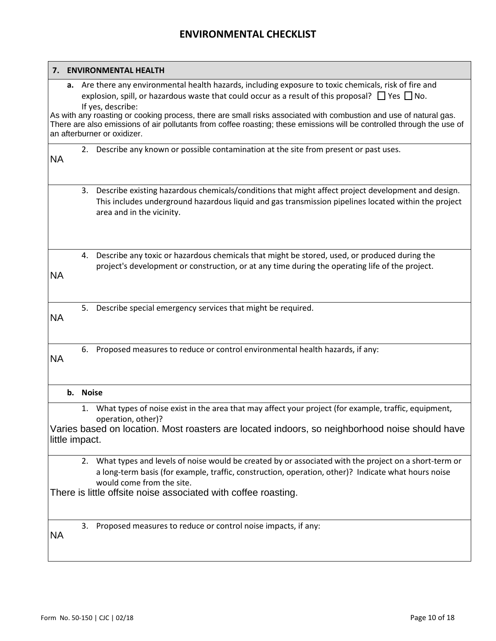|           | 7. ENVIRONMENTAL HEALTH                                                                                                                                                                                                                                                                                                                                                                                                                                                                                                |
|-----------|------------------------------------------------------------------------------------------------------------------------------------------------------------------------------------------------------------------------------------------------------------------------------------------------------------------------------------------------------------------------------------------------------------------------------------------------------------------------------------------------------------------------|
|           | a. Are there any environmental health hazards, including exposure to toxic chemicals, risk of fire and<br>explosion, spill, or hazardous waste that could occur as a result of this proposal? $\Box$ Yes $\Box$ No.<br>If yes, describe:<br>As with any roasting or cooking process, there are small risks associated with combustion and use of natural gas.<br>There are also emissions of air pollutants from coffee roasting; these emissions will be controlled through the use of<br>an afterburner or oxidizer. |
| <b>NA</b> | 2. Describe any known or possible contamination at the site from present or past uses.                                                                                                                                                                                                                                                                                                                                                                                                                                 |
|           | Describe existing hazardous chemicals/conditions that might affect project development and design.<br>3.<br>This includes underground hazardous liquid and gas transmission pipelines located within the project<br>area and in the vicinity.                                                                                                                                                                                                                                                                          |
| NA.       | 4. Describe any toxic or hazardous chemicals that might be stored, used, or produced during the<br>project's development or construction, or at any time during the operating life of the project.                                                                                                                                                                                                                                                                                                                     |
| <b>NA</b> | Describe special emergency services that might be required.<br>5.                                                                                                                                                                                                                                                                                                                                                                                                                                                      |
| <b>NA</b> | Proposed measures to reduce or control environmental health hazards, if any:<br>6.                                                                                                                                                                                                                                                                                                                                                                                                                                     |
|           | b. Noise                                                                                                                                                                                                                                                                                                                                                                                                                                                                                                               |
|           | What types of noise exist in the area that may affect your project (for example, traffic, equipment,<br>1.<br>operation, other)?<br>Varies based on location. Most roasters are located indoors, so neighborhood noise should have<br>little impact.                                                                                                                                                                                                                                                                   |
|           | 2. What types and levels of noise would be created by or associated with the project on a short-term or<br>a long-term basis (for example, traffic, construction, operation, other)? Indicate what hours noise<br>would come from the site.<br>There is little offsite noise associated with coffee roasting.                                                                                                                                                                                                          |
| <b>NA</b> | Proposed measures to reduce or control noise impacts, if any:<br>3.                                                                                                                                                                                                                                                                                                                                                                                                                                                    |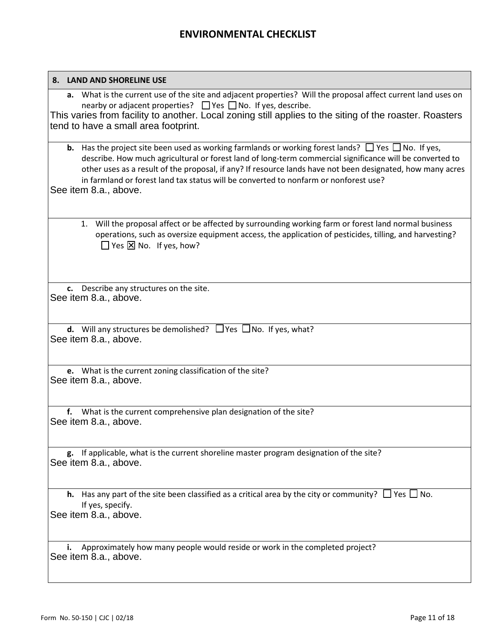| 8. LAND AND SHORELINE USE                                                                                                                                                                                                                                                                                                                                                                                                                                       |
|-----------------------------------------------------------------------------------------------------------------------------------------------------------------------------------------------------------------------------------------------------------------------------------------------------------------------------------------------------------------------------------------------------------------------------------------------------------------|
| a. What is the current use of the site and adjacent properties? Will the proposal affect current land uses on<br>nearby or adjacent properties? $\Box$ Yes $\Box$ No. If yes, describe.<br>This varies from facility to another. Local zoning still applies to the siting of the roaster. Roasters<br>tend to have a small area footprint.                                                                                                                      |
| <b>b.</b> Has the project site been used as working farmlands or working forest lands? $\Box$ Yes $\Box$ No. If yes,<br>describe. How much agricultural or forest land of long-term commercial significance will be converted to<br>other uses as a result of the proposal, if any? If resource lands have not been designated, how many acres<br>in farmland or forest land tax status will be converted to nonfarm or nonforest use?<br>See item 8.a., above. |
| 1. Will the proposal affect or be affected by surrounding working farm or forest land normal business<br>operations, such as oversize equipment access, the application of pesticides, tilling, and harvesting?<br>$\Box$ Yes $\boxtimes$ No. If yes, how?                                                                                                                                                                                                      |
| c. Describe any structures on the site.<br>See item 8.a., above.                                                                                                                                                                                                                                                                                                                                                                                                |
| <b>d.</b> Will any structures be demolished? $\Box$ Yes $\Box$ No. If yes, what?<br>See item 8.a., above.                                                                                                                                                                                                                                                                                                                                                       |
| e. What is the current zoning classification of the site?<br>See item 8.a., above.                                                                                                                                                                                                                                                                                                                                                                              |
| What is the current comprehensive plan designation of the site?<br>f.<br>See item 8.a., above.                                                                                                                                                                                                                                                                                                                                                                  |
| g. If applicable, what is the current shoreline master program designation of the site?<br>See item 8.a., above.                                                                                                                                                                                                                                                                                                                                                |
| <b>h.</b> Has any part of the site been classified as a critical area by the city or community? $\Box$ Yes $\Box$ No.<br>If yes, specify.<br>See item 8.a., above.                                                                                                                                                                                                                                                                                              |
| Approximately how many people would reside or work in the completed project?<br>See item 8.a., above.                                                                                                                                                                                                                                                                                                                                                           |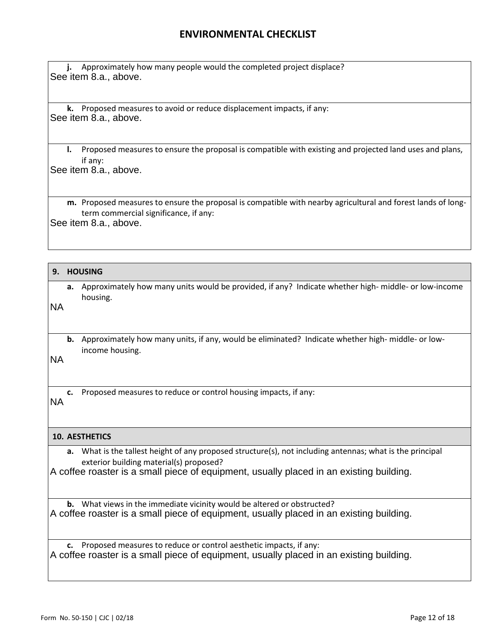**j.** Approximately how many people would the completed project displace? See item 8.a., above.

**k.** Proposed measures to avoid or reduce displacement impacts, if any: See item 8.a., above.

**l.** Proposed measures to ensure the proposal is compatible with existing and projected land uses and plans, if any:

See item 8.a., above.

**m.** Proposed measures to ensure the proposal is compatible with nearby agricultural and forest lands of longterm commercial significance, if any:

See item 8.a., above.

#### **9. HOUSING**

**a.** Approximately how many units would be provided, if any? Indicate whether high- middle- or low-income housing.

**b.** Approximately how many units, if any, would be eliminated? Indicate whether high- middle- or lowincome housing.

**c.** Proposed measures to reduce or control housing impacts, if any:

### **10. AESTHETICS**

**a.** What is the tallest height of any proposed structure(s), not including antennas; what is the principal exterior building material(s) proposed? **b.** Approximately how many units, if any, would be eliminated? Indicate whether high-middle<br>income housing.<br>NA<br>**C.** Proposed measures to reduce or control housing impacts, if any:<br>**10. AESTHETICS**<br>**a.** What is the tallest

**b.** What views in the immediate vicinity would be altered or obstructed? A coffee roaster is a small piece of equipment, usually placed in an existing building.

**c.** Proposed measures to reduce or control aesthetic impacts, if any: A coffee roaster is a small piece of equipment, usually placed in an existing building.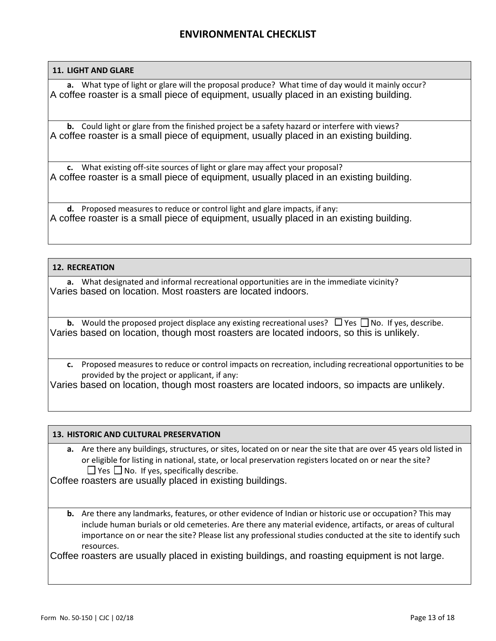### **11. LIGHT AND GLARE**

**a.** What type of light or glare will the proposal produce? What time of day would it mainly occur? A coffee roaster is a small piece of equipment, usually placed in an existing building.

**b.** Could light or glare from the finished project be a safety hazard or interfere with views? A coffee roaster is a small piece of equipment, usually placed in an existing building.

**c.** What existing off-site sources of light or glare may affect your proposal? A coffee roaster is a small piece of equipment, usually placed in an existing building.

**d.** Proposed measures to reduce or control light and glare impacts, if any: A coffee roaster is a small piece of equipment, usually placed in an existing building.

### **12. RECREATION**

**a.** What designated and informal recreational opportunities are in the immediate vicinity? Varies based on location. Most roasters are located indoors.

**b.** Would the proposed project displace any existing recreational uses?  $\Box$  Yes  $\Box$  No. If yes, describe. Varies based on location, though most roasters are located indoors, so this is unlikely.

**c.** Proposed measures to reduce or control impacts on recreation, including recreational opportunities to be provided by the project or applicant, if any:

Varies based on location, though most roasters are located indoors, so impacts are unlikely.

#### **13. HISTORIC AND CULTURAL PRESERVATION**

**a.** Are there any buildings, structures, or sites, located on or near the site that are over 45 years old listed in or eligible for listing in national, state, or local preservation registers located on or near the site?  $\Box$  Yes  $\Box$  No. If yes, specifically describe.

Coffee roasters are usually placed in existing buildings.

**b.** Are there any landmarks, features, or other evidence of Indian or historic use or occupation? This may include human burials or old cemeteries. Are there any material evidence, artifacts, or areas of cultural importance on or near the site? Please list any professional studies conducted at the site to identify such resources.

Coffee roasters are usually placed in existing buildings, and roasting equipment is not large.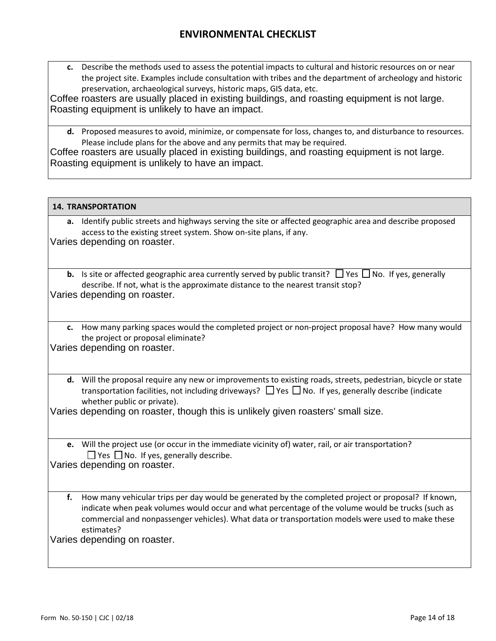**c.** Describe the methods used to assess the potential impacts to cultural and historic resources on or near the project site. Examples include consultation with tribes and the department of archeology and historic preservation, archaeological surveys, historic maps, GIS data, etc.

Coffee roasters are usually placed in existing buildings, and roasting equipment is not large. Roasting equipment is unlikely to have an impact.

**d.** Proposed measures to avoid, minimize, or compensate for loss, changes to, and disturbance to resources. Please include plans for the above and any permits that may be required.

Coffee roasters are usually placed in existing buildings, and roasting equipment is not large. Roasting equipment is unlikely to have an impact.

|    | <b>14. TRANSPORTATION</b>                                                                                                                                                                                                                                                                                                                                                |
|----|--------------------------------------------------------------------------------------------------------------------------------------------------------------------------------------------------------------------------------------------------------------------------------------------------------------------------------------------------------------------------|
|    | a. Identify public streets and highways serving the site or affected geographic area and describe proposed<br>access to the existing street system. Show on-site plans, if any.<br>Varies depending on roaster.                                                                                                                                                          |
|    | <b>b.</b> Is site or affected geographic area currently served by public transit? $\Box$ Yes $\Box$ No. If yes, generally<br>describe. If not, what is the approximate distance to the nearest transit stop?<br>Varies depending on roaster.                                                                                                                             |
|    | c. How many parking spaces would the completed project or non-project proposal have? How many would<br>the project or proposal eliminate?<br>Varies depending on roaster.                                                                                                                                                                                                |
|    | d. Will the proposal require any new or improvements to existing roads, streets, pedestrian, bicycle or state<br>transportation facilities, not including driveways? $\Box$ Yes $\Box$ No. If yes, generally describe (indicate<br>whether public or private).<br>Varies depending on roaster, though this is unlikely given roasters' small size.                       |
|    | e. Will the project use (or occur in the immediate vicinity of) water, rail, or air transportation?<br>$\Box$ Yes $\Box$ No. If yes, generally describe.<br>Varies depending on roaster.                                                                                                                                                                                 |
| f. | How many vehicular trips per day would be generated by the completed project or proposal? If known,<br>indicate when peak volumes would occur and what percentage of the volume would be trucks (such as<br>commercial and nonpassenger vehicles). What data or transportation models were used to make these<br>estimates?<br><i><u>Marine dononding on roactor</u></i> |

Varies depending on roaster.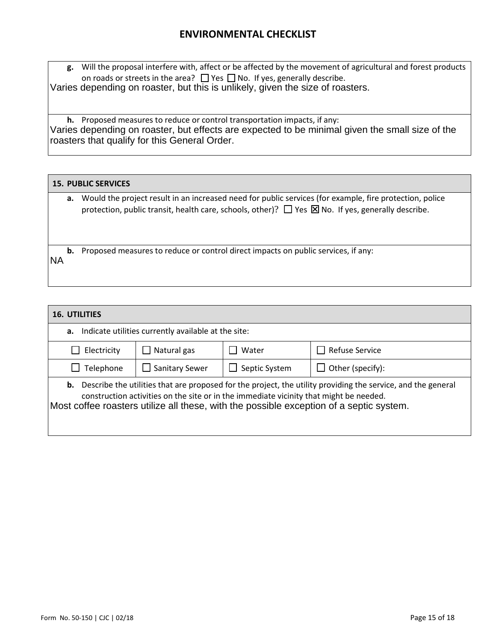**g.** Will the proposal interfere with, affect or be affected by the movement of agricultural and forest products on roads or streets in the area?  $\Box$  Yes  $\Box$  No. If yes, generally describe. Varies depending on roaster, but this is unlikely, given the size of roasters.

**h.** Proposed measures to reduce or control transportation impacts, if any: Varies depending on roaster, but effects are expected to be minimal given the small size of the roasters that qualify for this General Order.

### **15. PUBLIC SERVICES**

**a.** Would the project result in an increased need for public services (for example, fire protection, police protection, public transit, health care, schools, other)?  $\Box$  Yes  $\boxtimes$  No. If yes, generally describe.

**b.** Proposed measures to reduce or control direct impacts on public services, if any:

| <b>NA</b>                                                                                                                                                                                                                                                                                                   |                                                     |               |                       |
|-------------------------------------------------------------------------------------------------------------------------------------------------------------------------------------------------------------------------------------------------------------------------------------------------------------|-----------------------------------------------------|---------------|-----------------------|
|                                                                                                                                                                                                                                                                                                             |                                                     |               |                       |
| <b>16. UTILITIES</b>                                                                                                                                                                                                                                                                                        |                                                     |               |                       |
| а.                                                                                                                                                                                                                                                                                                          | Indicate utilities currently available at the site: |               |                       |
| Electricity                                                                                                                                                                                                                                                                                                 | Natural gas                                         | Water         | <b>Refuse Service</b> |
| Telephone                                                                                                                                                                                                                                                                                                   | Sanitary Sewer                                      | Septic System | Other (specify):      |
| <b>b.</b> Describe the utilities that are proposed for the project, the utility providing the service, and the general<br>construction activities on the site or in the immediate vicinity that might be needed.<br>Most coffee roasters utilize all these, with the possible exception of a septic system. |                                                     |               |                       |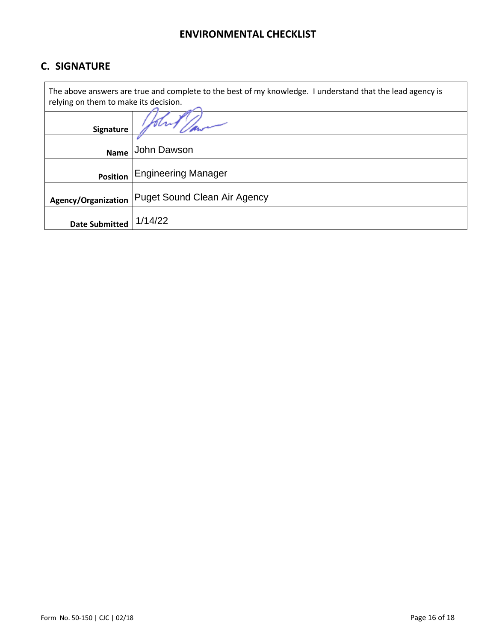# **C. SIGNATURE**

 $\mathbf{r}$ 

| The above answers are true and complete to the best of my knowledge. I understand that the lead agency is<br>relying on them to make its decision. |                                     |  |
|----------------------------------------------------------------------------------------------------------------------------------------------------|-------------------------------------|--|
| Signature                                                                                                                                          |                                     |  |
| <b>Name</b>                                                                                                                                        | John Dawson                         |  |
| <b>Position</b>                                                                                                                                    | <b>Engineering Manager</b>          |  |
| Agency/Organization                                                                                                                                | <b>Puget Sound Clean Air Agency</b> |  |
| <b>Date Submitted</b>                                                                                                                              | 1/14/22                             |  |

٦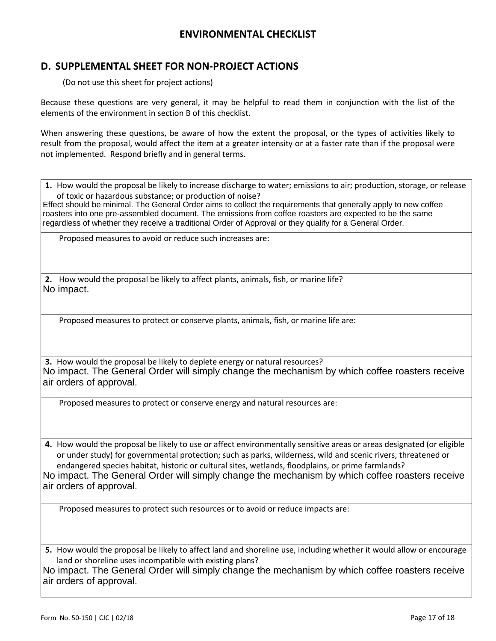## **D. SUPPLEMENTAL SHEET FOR NON-PROJECT ACTIONS**

(Do not use this sheet for project actions)

Because these questions are very general, it may be helpful to read them in conjunction with the list of the elements of the environment in section B of this checklist.

When answering these questions, be aware of how the extent the proposal, or the types of activities likely to result from the proposal, would affect the item at a greater intensity or at a faster rate than if the proposal were not implemented. Respond briefly and in general terms.

**1.** How would the proposal be likely to increase discharge to water; emissions to air; production, storage, or release of toxic or hazardous substance; or production of noise? Effect should be minimal. The General Order aims to collect the requirements that generally apply to new coffee

roasters into one pre-assembled document. The emissions from coffee roasters are expected to be the same regardless of whether they receive a traditional Order of Approval or they qualify for a General Order.

Proposed measures to avoid or reduce such increases are:

**2.** How would the proposal be likely to affect plants, animals, fish, or marine life? No impact.

Proposed measures to protect or conserve plants, animals, fish, or marine life are:

**3.** How would the proposal be likely to deplete energy or natural resources? No impact. The General Order will simply change the mechanism by which coffee roasters receive air orders of approval.

Proposed measures to protect or conserve energy and natural resources are:

**4.** How would the proposal be likely to use or affect environmentally sensitive areas or areas designated (or eligible or under study) for governmental protection; such as parks, wilderness, wild and scenic rivers, threatened or endangered species habitat, historic or cultural sites, wetlands, floodplains, or prime farmlands? No impact. The General Order will simply change the mechanism by which coffee roasters receive air orders of approval.

Proposed measures to protect such resources or to avoid or reduce impacts are:

**5.** How would the proposal be likely to affect land and shoreline use, including whether it would allow or encourage land or shoreline uses incompatible with existing plans?

No impact. The General Order will simply change the mechanism by which coffee roasters receive air orders of approval.